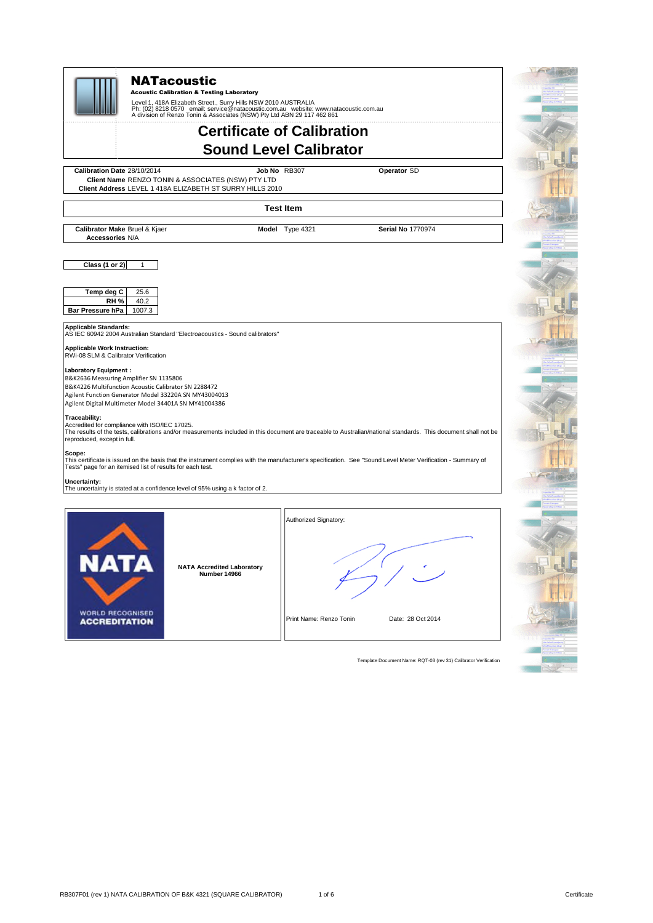

Template Document Name: RQT-03 (rev 31) Calibrator Verification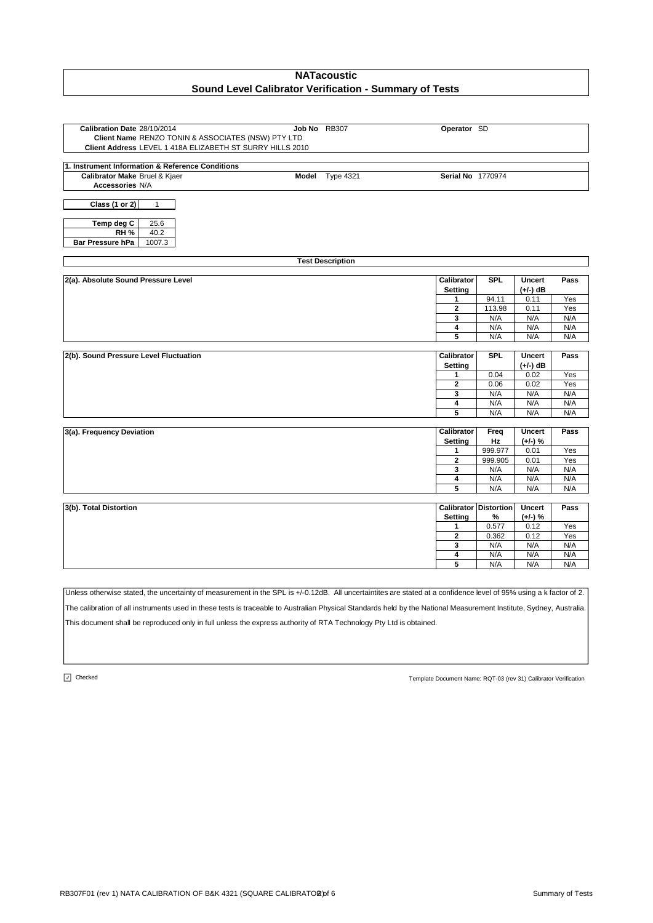| Calibration Date 28/10/2014                               | Job No RB307            | Operator SD                  |                              |               |            |
|-----------------------------------------------------------|-------------------------|------------------------------|------------------------------|---------------|------------|
| Client Name RENZO TONIN & ASSOCIATES (NSW) PTY LTD        |                         |                              |                              |               |            |
| Client Address LEVEL 1 418A ELIZABETH ST SURRY HILLS 2010 |                         |                              |                              |               |            |
|                                                           |                         |                              |                              |               |            |
| 1. Instrument Information & Reference Conditions          |                         |                              |                              |               |            |
| Calibrator Make Bruel & Kjaer                             | Model Type 4321         | Serial No 1770974            |                              |               |            |
| Accessories N/A                                           |                         |                              |                              |               |            |
| Class $(1 or 2)$<br>$\mathbf{1}$                          |                         |                              |                              |               |            |
|                                                           |                         |                              |                              |               |            |
| Temp deg C<br>25.6                                        |                         |                              |                              |               |            |
| 40.2<br><b>RH %</b>                                       |                         |                              |                              |               |            |
| Bar Pressure hPa<br>1007.3                                |                         |                              |                              |               |            |
|                                                           |                         |                              |                              |               |            |
|                                                           | <b>Test Description</b> |                              |                              |               |            |
|                                                           |                         |                              |                              |               |            |
| 2(a). Absolute Sound Pressure Level                       |                         | Calibrator                   | <b>SPL</b>                   | <b>Uncert</b> | Pass       |
|                                                           |                         | Setting                      |                              | $(+/-)$ dB    |            |
|                                                           |                         |                              | 94.11                        | 0.11          | Yes        |
|                                                           |                         | $\mathbf{2}$                 | 113.98                       | 0.11          | Yes        |
|                                                           |                         | 3                            | N/A                          | N/A           | N/A        |
|                                                           |                         | 4                            | N/A                          | N/A           | N/A        |
|                                                           |                         | 5                            | N/A                          | N/A           | N/A        |
|                                                           |                         |                              |                              |               |            |
|                                                           |                         |                              |                              |               |            |
| 2(b). Sound Pressure Level Fluctuation                    |                         | Calibrator                   | <b>SPL</b>                   | <b>Uncert</b> | Pass       |
|                                                           |                         | <b>Setting</b>               |                              | $(+/-)$ dB    |            |
|                                                           |                         | 1                            | 0.04                         | 0.02          | Yes        |
|                                                           |                         | 2                            | 0.06                         | 0.02          | Yes        |
|                                                           |                         | 3                            | N/A                          | N/A           | N/A        |
|                                                           |                         | 4                            | N/A                          | N/A           | N/A        |
|                                                           |                         | 5                            | N/A                          | N/A           | N/A        |
|                                                           |                         |                              |                              |               |            |
| 3(a). Frequency Deviation                                 |                         | Calibrator                   | Freq                         | <b>Uncert</b> | Pass       |
|                                                           |                         | Setting                      | Hz                           | $(+/-)$ %     |            |
|                                                           |                         | 1<br>$\overline{\mathbf{2}}$ | 999.977<br>999.905           | 0.01<br>0.01  | Yes<br>Yes |
|                                                           |                         | 3                            | N/A                          | N/A           | N/A        |
|                                                           |                         | 4                            | N/A                          | N/A           | N/A        |
|                                                           |                         | 5                            | N/A                          | N/A           | N/A        |
|                                                           |                         |                              |                              |               |            |
| 3(b). Total Distortion                                    |                         |                              | <b>Calibrator Distortion</b> | <b>Uncert</b> | Pass       |
|                                                           |                         | Setting                      | %                            | $(+/-)$ %     |            |
|                                                           |                         | 1                            | 0.577                        | 0.12          | Yes        |
|                                                           |                         | 2                            | 0.362                        | 0.12          | Yes        |
|                                                           |                         | 3                            | N/A                          | N/A           | N/A        |
|                                                           |                         | 4<br>5                       | N/A<br>N/A                   | N/A<br>N/A    | N/A<br>N/A |

Unless otherwise stated, the uncertainty of measurement in the SPL is +/-0.12dB. All uncertaintites are stated at a confidence level of 95% using a k factor of 2. The calibration of all instruments used in these tests is traceable to Australian Physical Standards held by the National Measurement Institute, Sydney, Australia.

This document shall be reproduced only in full unless the express authority of RTA Technology Pty Ltd is obtained.

 $\boxed{J}$  Checked

Template Document Name: RQT-03 (rev 31) Calibrator Verification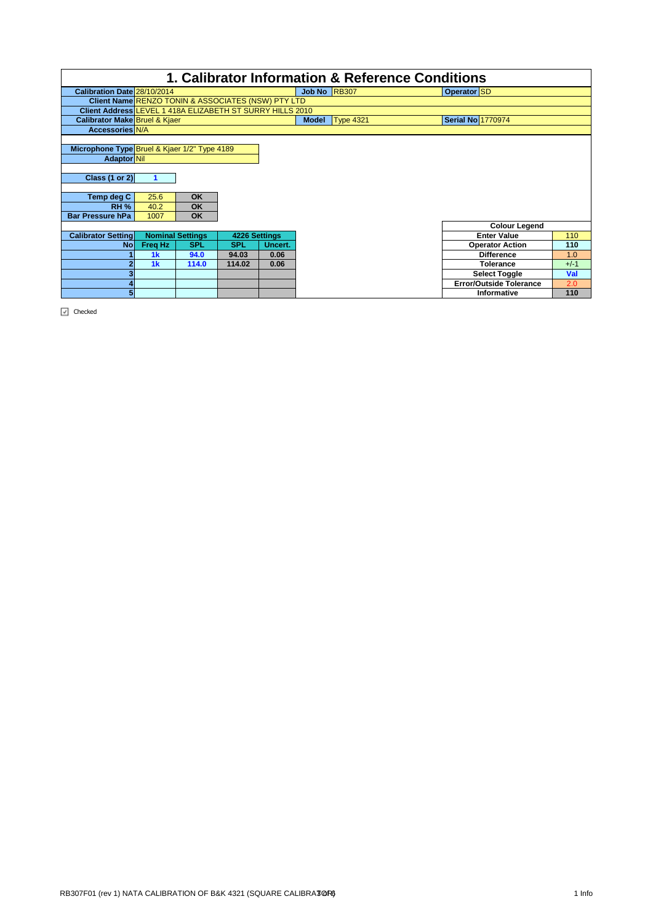|                                                                                                                                         |                      |                                     |               |         |              | 1. Calibrator Information & Reference Conditions |                                |        |
|-----------------------------------------------------------------------------------------------------------------------------------------|----------------------|-------------------------------------|---------------|---------|--------------|--------------------------------------------------|--------------------------------|--------|
| Calibration Date 28/10/2014                                                                                                             |                      |                                     |               |         | Job No RB307 |                                                  | Operator SD                    |        |
| Client Name RENZO TONIN & ASSOCIATES (NSW) PTY LTD                                                                                      |                      |                                     |               |         |              |                                                  |                                |        |
| Client Address LEVEL 1 418A ELIZABETH ST SURRY HILLS 2010                                                                               |                      |                                     |               |         |              |                                                  |                                |        |
| <b>Calibrator Make Bruel &amp; Kjaer</b>                                                                                                |                      |                                     |               |         | <b>Model</b> | <b>Type 4321</b>                                 | <b>Serial No 1770974</b>       |        |
| <b>Accessories N/A</b>                                                                                                                  |                      |                                     |               |         |              |                                                  |                                |        |
| Microphone Type Bruel & Kjaer 1/2" Type 4189<br>Adaptor Nil<br>Class $(1 or 2)$<br>Temp deg C<br><b>RH %</b><br><b>Bar Pressure hPa</b> | 25.6<br>40.2<br>1007 | <b>OK</b><br><b>OK</b><br><b>OK</b> |               |         |              |                                                  |                                |        |
|                                                                                                                                         |                      |                                     |               |         |              |                                                  | <b>Colour Legend</b>           |        |
| <b>Calibrator Setting</b>                                                                                                               |                      | <b>Nominal Settings</b>             | 4226 Settings |         |              |                                                  | <b>Enter Value</b>             | 110    |
| <b>No</b>                                                                                                                               | Freq Hz              | <b>SPL</b>                          | <b>SPL</b>    | Uncert. |              |                                                  | <b>Operator Action</b>         | 110    |
|                                                                                                                                         | 1 <sub>k</sub>       | 94.0                                | 94.03         | 0.06    |              |                                                  | <b>Difference</b>              | 1.0    |
|                                                                                                                                         | 1 <sub>k</sub>       | 114.0                               | 114.02        | 0.06    |              |                                                  | Tolerance                      | $+/-1$ |
|                                                                                                                                         |                      |                                     |               |         |              |                                                  | <b>Select Toggle</b>           | Val    |
|                                                                                                                                         |                      |                                     |               |         |              |                                                  | <b>Error/Outside Tolerance</b> | 2.0    |
| 5.                                                                                                                                      |                      |                                     |               |         |              |                                                  | Informative                    | 110    |

 $\boxed{\checkmark}$  Checked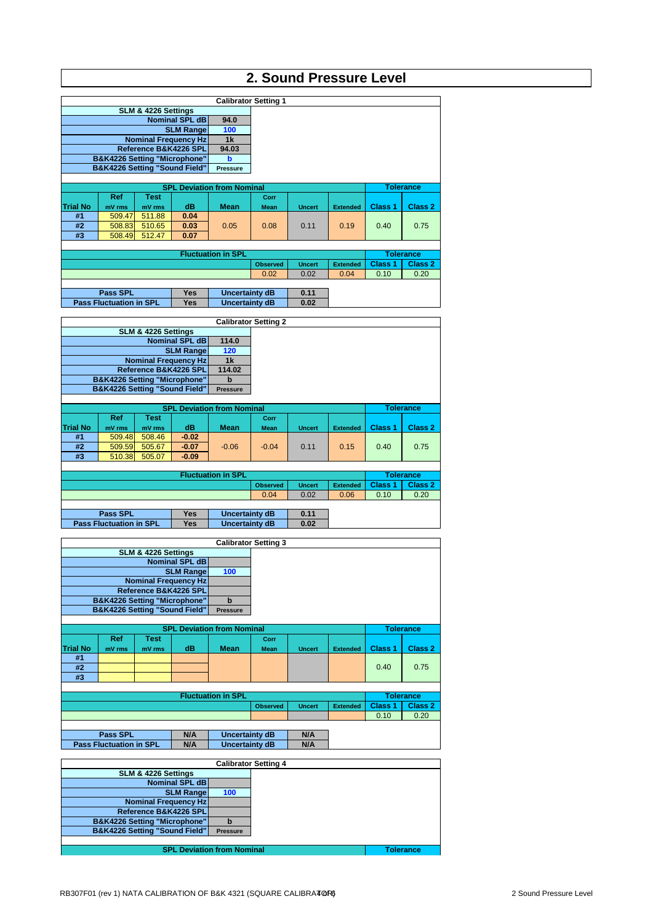# **2. Sound Pressure Level**

|                 |                                          |                     |                             |                                   | <b>Calibrator Setting 1</b> |               |                 |                |                  |
|-----------------|------------------------------------------|---------------------|-----------------------------|-----------------------------------|-----------------------------|---------------|-----------------|----------------|------------------|
|                 |                                          | SLM & 4226 Settings |                             |                                   |                             |               |                 |                |                  |
|                 |                                          |                     | <b>Nominal SPL dB</b>       | 94.0                              |                             |               |                 |                |                  |
|                 |                                          |                     | <b>SLM Range</b>            | 100                               |                             |               |                 |                |                  |
|                 |                                          |                     | <b>Nominal Frequency Hz</b> | 1 <sub>k</sub>                    |                             |               |                 |                |                  |
|                 |                                          |                     | Reference B&K4226 SPL       | 94.03                             |                             |               |                 |                |                  |
|                 | <b>B&amp;K4226 Setting "Microphone"</b>  |                     |                             | b                                 |                             |               |                 |                |                  |
|                 | <b>B&amp;K4226 Setting "Sound Field"</b> |                     |                             | <b>Pressure</b>                   |                             |               |                 |                |                  |
|                 |                                          |                     |                             |                                   |                             |               |                 |                |                  |
|                 |                                          |                     |                             | <b>SPL Deviation from Nominal</b> |                             |               |                 |                | <b>Tolerance</b> |
|                 | <b>Ref</b>                               | Test                |                             |                                   | Corr                        |               |                 |                |                  |
| <b>Trial No</b> | mV rms                                   | mV rms              | dB                          | <b>Mean</b>                       | <b>Mean</b>                 | <b>Uncert</b> | <b>Extended</b> | Class 1        | Class 2          |
| #1              | 509.47                                   | 511.88              | 0.04                        |                                   |                             |               |                 |                |                  |
| #2              | 508.83                                   | 510.65              | 0.03                        | 0.05                              | 0.08                        | 0.11          | 0.19            | 0.40           | 0.75             |
| #3              | 508.49                                   | 512.47              | 0.07                        |                                   |                             |               |                 |                |                  |
|                 |                                          |                     |                             |                                   |                             |               |                 |                |                  |
|                 |                                          |                     |                             | <b>Fluctuation in SPL</b>         |                             |               |                 |                | <b>Tolerance</b> |
|                 |                                          |                     |                             |                                   | <b>Observed</b>             | <b>Uncert</b> | <b>Extended</b> | <b>Class 1</b> | Class 2          |
|                 |                                          |                     |                             |                                   |                             |               |                 |                |                  |
|                 |                                          |                     |                             |                                   | 0.02                        | 0.02          | 0.04            | 0.10           | 0.20             |
|                 |                                          |                     |                             |                                   |                             |               |                 |                |                  |
|                 | <b>Pass SPL</b>                          |                     | <b>Yes</b>                  | Uncertainty dB                    |                             | 0.11          |                 |                |                  |

|                 |                                         |                     |                             |                                   | <b>Calibrator Setting 2</b> |               |                 |                |                  |
|-----------------|-----------------------------------------|---------------------|-----------------------------|-----------------------------------|-----------------------------|---------------|-----------------|----------------|------------------|
|                 |                                         | SLM & 4226 Settings |                             |                                   |                             |               |                 |                |                  |
|                 |                                         |                     | <b>Nominal SPL dB</b>       | 114.0                             |                             |               |                 |                |                  |
|                 |                                         |                     | <b>SLM Range</b>            | 120                               |                             |               |                 |                |                  |
|                 |                                         |                     | <b>Nominal Frequency Hz</b> | 1 <sub>k</sub>                    |                             |               |                 |                |                  |
|                 |                                         |                     | Reference B&K4226 SPL       | 114.02                            |                             |               |                 |                |                  |
|                 | <b>B&amp;K4226 Setting "Microphone"</b> |                     |                             | $\mathbf b$                       |                             |               |                 |                |                  |
|                 | B&K4226 Setting "Sound Field"           |                     |                             | <b>Pressure</b>                   |                             |               |                 |                |                  |
|                 |                                         |                     |                             |                                   |                             |               |                 |                |                  |
|                 |                                         |                     |                             | <b>SPL Deviation from Nominal</b> |                             |               |                 |                | <b>Tolerance</b> |
|                 | <b>Ref</b>                              | <b>Test</b>         |                             |                                   | Corr                        |               |                 |                |                  |
| <b>Trial No</b> | mV rms                                  | mV rms              | dB                          | <b>Mean</b>                       | <b>Mean</b>                 | <b>Uncert</b> | <b>Extended</b> | <b>Class 1</b> | Class 2          |
| #1              | 509.48                                  | 508.46              | $-0.02$                     |                                   |                             |               |                 |                |                  |
| #2              | 509.59                                  | 505.67              | $-0.07$                     | $-0.06$                           | $-0.04$                     | 0.11          | 0.15            | 0.40           | 0.75             |
| #3              | 510.38                                  | 505.07              | $-0.09$                     |                                   |                             |               |                 |                |                  |
|                 |                                         |                     |                             |                                   |                             |               |                 |                |                  |
|                 |                                         |                     |                             | <b>Fluctuation in SPL</b>         |                             |               |                 |                | <b>Tolerance</b> |
|                 |                                         |                     |                             |                                   | <b>Observed</b>             | <b>Uncert</b> | <b>Extended</b> | <b>Class 1</b> | Class 2          |
|                 |                                         |                     |                             |                                   | 0.04                        | 0.02          | 0.06            | 0.10           | 0.20             |
|                 |                                         |                     |                             |                                   |                             |               |                 |                |                  |
|                 |                                         |                     |                             |                                   |                             |               |                 |                |                  |
|                 | <b>Pass SPL</b>                         |                     | <b>Yes</b>                  | Uncertainty dB                    |                             | 0.11          |                 |                |                  |

|                 |                                         |                       |                             |                                   | <b>Calibrator Setting 3</b> |               |                 |                    |                    |
|-----------------|-----------------------------------------|-----------------------|-----------------------------|-----------------------------------|-----------------------------|---------------|-----------------|--------------------|--------------------|
|                 |                                         | SLM & 4226 Settings   |                             |                                   |                             |               |                 |                    |                    |
|                 |                                         |                       | <b>Nominal SPL dB</b>       |                                   |                             |               |                 |                    |                    |
|                 |                                         |                       | <b>SLM Range</b>            | 100                               |                             |               |                 |                    |                    |
|                 |                                         |                       | <b>Nominal Frequency Hz</b> |                                   |                             |               |                 |                    |                    |
|                 |                                         | Reference B&K4226 SPL |                             |                                   |                             |               |                 |                    |                    |
|                 | <b>B&amp;K4226 Setting "Microphone"</b> |                       |                             | $\mathbf b$                       |                             |               |                 |                    |                    |
|                 | B&K4226 Setting "Sound Field"           |                       |                             | <b>Pressure</b>                   |                             |               |                 |                    |                    |
|                 |                                         |                       |                             |                                   |                             |               |                 |                    |                    |
|                 |                                         |                       |                             | <b>SPL Deviation from Nominal</b> |                             |               |                 |                    | <b>Tolerance</b>   |
|                 | <b>Ref</b>                              | <b>Test</b>           |                             |                                   | Corr                        |               |                 |                    |                    |
| <b>Trial No</b> | mV rms                                  | mV rms                | dB                          | <b>Mean</b>                       | <b>Mean</b>                 | <b>Uncert</b> | <b>Extended</b> | Class <sub>1</sub> | Class <sub>2</sub> |
| #1              |                                         |                       |                             |                                   |                             |               |                 |                    |                    |
| #2              |                                         |                       |                             |                                   |                             |               |                 | 0.40               | 0.75               |
| #3              |                                         |                       |                             |                                   |                             |               |                 |                    |                    |
|                 |                                         |                       |                             |                                   |                             |               |                 |                    |                    |
|                 |                                         |                       |                             | <b>Fluctuation in SPL</b>         |                             |               |                 |                    | <b>Tolerance</b>   |
|                 |                                         |                       |                             |                                   | <b>Observed</b>             | <b>Uncert</b> | <b>Extended</b> | <b>Class 1</b>     | <b>Class 2</b>     |
|                 |                                         |                       |                             |                                   |                             |               |                 | 0.10               | 0.20               |
|                 |                                         |                       |                             |                                   |                             |               |                 |                    |                    |
|                 | <b>Pass SPL</b>                         |                       | N/A                         | Uncertainty dB                    |                             | N/A           |                 |                    |                    |
|                 | <b>Pass Fluctuation in SPL</b>          |                       | N/A                         | Uncertainty dB                    |                             | N/A           |                 |                    |                    |

|                                         |                 | <b>Calibrator Setting 4</b> |                  |
|-----------------------------------------|-----------------|-----------------------------|------------------|
| SLM & 4226 Settings                     |                 |                             |                  |
| Nominal SPL dB                          |                 |                             |                  |
| <b>SLM Range</b>                        | 100             |                             |                  |
| <b>Nominal Frequency Hz</b>             |                 |                             |                  |
| Reference B&K4226 SPL                   |                 |                             |                  |
| <b>B&amp;K4226 Setting "Microphone"</b> |                 |                             |                  |
| B&K4226 Setting "Sound Field"           | <b>Pressure</b> |                             |                  |
|                                         |                 |                             |                  |
| <b>SPL Deviation from Nominal</b>       |                 |                             | <b>Tolerance</b> |
|                                         |                 |                             |                  |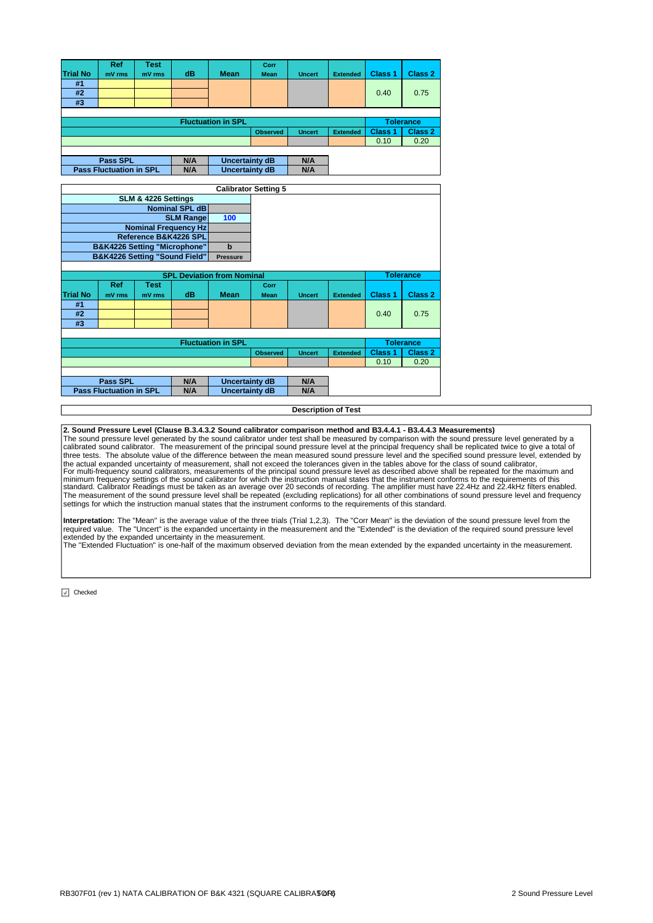|                 | <b>Ref</b>      | Test   |     |                           | Corr            |               |                 |                    |                  |
|-----------------|-----------------|--------|-----|---------------------------|-----------------|---------------|-----------------|--------------------|------------------|
| <b>Trial No</b> | mV rms          | mV rms | dB  | <b>Mean</b>               | <b>Mean</b>     | <b>Uncert</b> | <b>Extended</b> | Class <sub>1</sub> | Class 2          |
| #1              |                 |        |     |                           |                 |               |                 |                    |                  |
| #2              |                 |        |     |                           |                 |               |                 | 0.40               | 0.75             |
| #3              |                 |        |     |                           |                 |               |                 |                    |                  |
|                 |                 |        |     |                           |                 |               |                 |                    |                  |
|                 |                 |        |     |                           |                 |               |                 |                    |                  |
|                 |                 |        |     | <b>Fluctuation in SPL</b> |                 |               |                 |                    | <b>Tolerance</b> |
|                 |                 |        |     |                           | <b>Observed</b> | <b>Uncert</b> | <b>Extended</b> | Class <sub>1</sub> | Class 2          |
|                 |                 |        |     |                           |                 |               |                 | 0.10               | 0.20             |
|                 |                 |        |     |                           |                 |               |                 |                    |                  |
|                 | <b>Pass SPL</b> |        | N/A | Uncertainty dB            |                 | N/A           |                 |                    |                  |

|                 |                                         |                     |                             |                                   | <b>Calibrator Setting 5</b> |               |                 |                    |                    |
|-----------------|-----------------------------------------|---------------------|-----------------------------|-----------------------------------|-----------------------------|---------------|-----------------|--------------------|--------------------|
|                 |                                         | SLM & 4226 Settings |                             |                                   |                             |               |                 |                    |                    |
|                 |                                         |                     | <b>Nominal SPL dB</b>       |                                   |                             |               |                 |                    |                    |
|                 |                                         |                     |                             |                                   |                             |               |                 |                    |                    |
|                 |                                         |                     | <b>SLM Rangel</b>           | 100                               |                             |               |                 |                    |                    |
|                 |                                         |                     | <b>Nominal Frequency Hz</b> |                                   |                             |               |                 |                    |                    |
|                 |                                         |                     | Reference B&K4226 SPL       |                                   |                             |               |                 |                    |                    |
|                 | <b>B&amp;K4226 Setting "Microphone"</b> |                     |                             | $\mathbf b$                       |                             |               |                 |                    |                    |
|                 | B&K4226 Setting "Sound Field"           |                     |                             | <b>Pressure</b>                   |                             |               |                 |                    |                    |
|                 |                                         |                     |                             |                                   |                             |               |                 |                    |                    |
|                 |                                         |                     |                             | <b>SPL Deviation from Nominal</b> |                             |               |                 |                    | <b>Tolerance</b>   |
|                 | <b>Ref</b>                              | <b>Test</b>         |                             |                                   | Corr                        |               |                 |                    |                    |
| <b>Trial No</b> | mV rms                                  | mV rms              | dB                          | <b>Mean</b>                       | <b>Mean</b>                 | <b>Uncert</b> | <b>Extended</b> | Class <sub>1</sub> | Class <sub>2</sub> |
| #1              |                                         |                     |                             |                                   |                             |               |                 |                    |                    |
| #2              |                                         |                     |                             |                                   |                             |               |                 | 0.40               | 0.75               |
| #3              |                                         |                     |                             |                                   |                             |               |                 |                    |                    |
|                 |                                         |                     |                             |                                   |                             |               |                 |                    |                    |
|                 |                                         |                     |                             | <b>Fluctuation in SPL</b>         |                             |               |                 |                    | <b>Tolerance</b>   |
|                 |                                         |                     |                             |                                   | <b>Observed</b>             | <b>Uncert</b> | <b>Extended</b> | <b>Class 1</b>     | Class 2            |
|                 |                                         |                     |                             |                                   |                             |               |                 | 0.10               | 0.20               |
|                 |                                         |                     |                             |                                   |                             |               |                 |                    |                    |
|                 | Pass SPL                                |                     | N/A                         | <b>Uncertainty dB</b>             |                             | N/A           |                 |                    |                    |
|                 | <b>Pass Fluctuation in SPL</b>          |                     | N/A                         | Uncertainty dB                    |                             | N/A           |                 |                    |                    |

### **Description of Test**

**2. Sound Pressure Level (Clause B.3.4.3.2 Sound calibrator comparison method and B3.4.4.1 - B3.4.4.3 Measurements)**

The sound pressure level generated by the sound calibrator under test shall be measured by comparison with the sound pressure level generated by a<br>calibrated sound calibrator. The measurement of the principal sound pressur the actual expanded uncertainty of measurement, shall not exceed the tolerances given in the tables above for the class of sound calibrator,<br>For multi-frequency sound calibrators, measurements of the principal sound pressu settings for which the instruction manual states that the instrument conforms to the requirements of this standard.

Interpretation: The "Mean" is the average value of the three trials (Trial 1,2,3). The "Corr Mean" is the deviation of the sound pressure level from the<br>required value. The "Uncert" is the expanded uncertainty in the measu extended by the expanded uncertainty in the measurement. The "Extended Fluctuation" is one-half of the maximum observed deviation from the mean extended by the expanded uncertainty in the measurement.

 $\boxed{\sqrt{ }}$  Checked